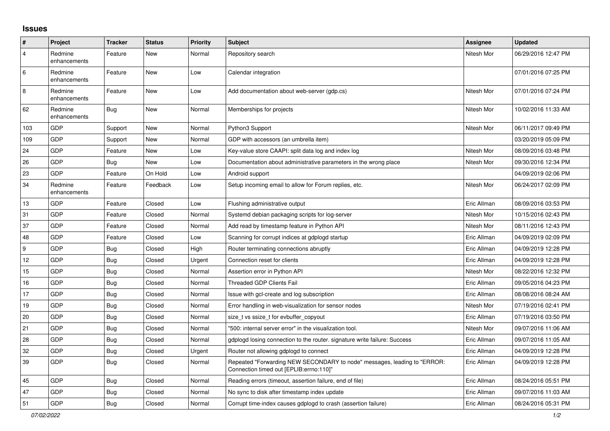## **Issues**

| #              | Project                 | <b>Tracker</b> | <b>Status</b> | <b>Priority</b> | <b>Subject</b>                                                                                                      | <b>Assignee</b> | <b>Updated</b>      |
|----------------|-------------------------|----------------|---------------|-----------------|---------------------------------------------------------------------------------------------------------------------|-----------------|---------------------|
| $\overline{4}$ | Redmine<br>enhancements | Feature        | New           | Normal          | Repository search                                                                                                   | Nitesh Mor      | 06/29/2016 12:47 PM |
| $\,6\,$        | Redmine<br>enhancements | Feature        | New           | Low             | Calendar integration                                                                                                |                 | 07/01/2016 07:25 PM |
| 8              | Redmine<br>enhancements | Feature        | New           | Low             | Add documentation about web-server (gdp.cs)                                                                         | Nitesh Mor      | 07/01/2016 07:24 PM |
| 62             | Redmine<br>enhancements | <b>Bug</b>     | <b>New</b>    | Normal          | Memberships for projects                                                                                            | Nitesh Mor      | 10/02/2016 11:33 AM |
| 103            | <b>GDP</b>              | Support        | New           | Normal          | Python3 Support                                                                                                     | Nitesh Mor      | 06/11/2017 09:49 PM |
| 109            | GDP                     | Support        | <b>New</b>    | Normal          | GDP with accessors (an umbrella item)                                                                               |                 | 03/20/2019 05:09 PM |
| 24             | GDP                     | Feature        | New           | Low             | Key-value store CAAPI: split data log and index log                                                                 | Nitesh Mor      | 08/09/2016 03:48 PM |
| 26             | GDP                     | <b>Bug</b>     | New           | Low             | Documentation about administrative parameters in the wrong place                                                    | Nitesh Mor      | 09/30/2016 12:34 PM |
| 23             | GDP                     | Feature        | On Hold       | Low             | Android support                                                                                                     |                 | 04/09/2019 02:06 PM |
| 34             | Redmine<br>enhancements | Feature        | Feedback      | Low             | Setup incoming email to allow for Forum replies, etc.                                                               | Nitesh Mor      | 06/24/2017 02:09 PM |
| 13             | GDP                     | Feature        | Closed        | Low             | Flushing administrative output                                                                                      | Eric Allman     | 08/09/2016 03:53 PM |
| 31             | GDP                     | Feature        | Closed        | Normal          | Systemd debian packaging scripts for log-server                                                                     | Nitesh Mor      | 10/15/2016 02:43 PM |
| 37             | GDP                     | Feature        | Closed        | Normal          | Add read by timestamp feature in Python API                                                                         | Nitesh Mor      | 08/11/2016 12:43 PM |
| 48             | <b>GDP</b>              | Feature        | Closed        | Low             | Scanning for corrupt indices at gdplogd startup                                                                     | Eric Allman     | 04/09/2019 02:09 PM |
| 9              | GDP                     | <b>Bug</b>     | Closed        | High            | Router terminating connections abruptly                                                                             | Eric Allman     | 04/09/2019 12:28 PM |
| 12             | GDP                     | Bug            | Closed        | Urgent          | Connection reset for clients                                                                                        | Eric Allman     | 04/09/2019 12:28 PM |
| 15             | GDP                     | <b>Bug</b>     | Closed        | Normal          | Assertion error in Python API                                                                                       | Nitesh Mor      | 08/22/2016 12:32 PM |
| 16             | GDP                     | Bug            | Closed        | Normal          | <b>Threaded GDP Clients Fail</b>                                                                                    | Eric Allman     | 09/05/2016 04:23 PM |
| 17             | GDP                     | <b>Bug</b>     | Closed        | Normal          | Issue with gcl-create and log subscription                                                                          | Eric Allman     | 08/08/2016 08:24 AM |
| 19             | GDP                     | Bug            | Closed        | Normal          | Error handling in web-visualization for sensor nodes                                                                | Nitesh Mor      | 07/19/2016 02:41 PM |
| $20\,$         | <b>GDP</b>              | <b>Bug</b>     | Closed        | Normal          | size t vs ssize t for evbuffer copyout                                                                              | Eric Allman     | 07/19/2016 03:50 PM |
| 21             | GDP                     | <b>Bug</b>     | Closed        | Normal          | "500: internal server error" in the visualization tool.                                                             | Nitesh Mor      | 09/07/2016 11:06 AM |
| 28             | GDP                     | <b>Bug</b>     | Closed        | Normal          | gdplogd losing connection to the router, signature write failure: Success                                           | Eric Allman     | 09/07/2016 11:05 AM |
| 32             | GDP                     | <b>Bug</b>     | Closed        | Urgent          | Router not allowing gdplogd to connect                                                                              | Eric Allman     | 04/09/2019 12:28 PM |
| 39             | GDP                     | Bug            | Closed        | Normal          | Repeated "Forwarding NEW SECONDARY to node" messages, leading to "ERROR:<br>Connection timed out [EPLIB:errno:110]" | Eric Allman     | 04/09/2019 12:28 PM |
| 45             | <b>GDP</b>              | Bug            | Closed        | Normal          | Reading errors (timeout, assertion failure, end of file)                                                            | Eric Allman     | 08/24/2016 05:51 PM |
| 47             | GDP                     | Bug            | Closed        | Normal          | No sync to disk after timestamp index update                                                                        | Eric Allman     | 09/07/2016 11:03 AM |
| 51             | GDP                     | Bug            | Closed        | Normal          | Corrupt time-index causes gdplogd to crash (assertion failure)                                                      | Eric Allman     | 08/24/2016 05:31 PM |